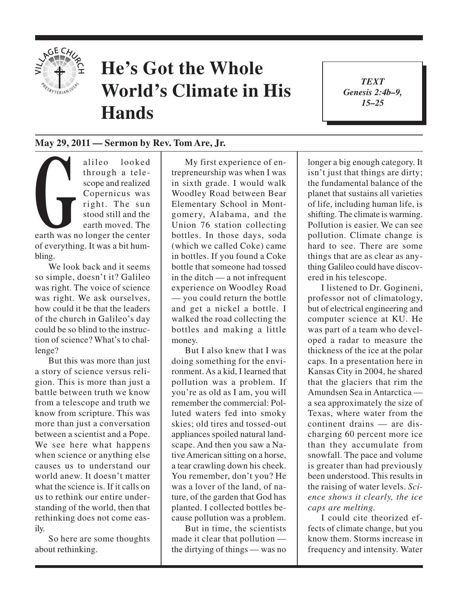

## **He's Got the Whole World's Climate in His Hands**

*TEXT Genesis 2:4b–9, 15–25*

1

## **May 29, 2011 — Sermon by Rev. Tom Are, Jr.**

Scope and realized<br>
Copernicus was<br>
right. The sun<br>
stood still and the<br>
earth moved. The<br>
earth was no longer the center alileo looked through a telescope and realized Copernicus was right. The sun stood still and the earth moved. The of everything. It was a bit humbling.

We look back and it seems so simple, doesn't it? Galileo was right. The voice of science was right. We ask ourselves, how could it be that the leaders of the church in Galileo's day could be so blind to the instruction of science? What's to challenge?

But this was more than just a story of science versus religion. This is more than just a battle between truth we know from a telescope and truth we know from scripture. This was more than just a conversation between a scientist and a Pope. We see here what happens when science or anything else causes us to understand our world anew. It doesn't matter what the science is. If it calls on us to rethink our entire understanding of the world, then that rethinking does not come easily.

So here are some thoughts about rethinking.

My first experience of entrepreneurship was when I was in sixth grade. I would walk Woodley Road between Bear Elementary School in Montgomery, Alabama, and the Union 76 station collecting bottles. In those days, soda (which we called Coke) came in bottles. If you found a Coke bottle that someone had tossed in the ditch — a not infrequent experience on Woodley Road — you could return the bottle and get a nickel a bottle. I walked the road collecting the bottles and making a little money.

But I also knew that I was doing something for the environment. As a kid, I learned that pollution was a problem. If you're as old as I am, you will remember the commercial: Polluted waters fed into smoky skies; old tires and tossed-out appliances spoiled natural landscape. And then you saw a Native American sitting on a horse, a tear crawling down his cheek. You remember, don't you? He was a lover of the land, of nature, of the garden that God has planted. I collected bottles because pollution was a problem.

But in time, the scientists made it clear that pollution the dirtying of things — was no

longer a big enough category. It isn't just that things are dirty; the fundamental balance of the planet that sustains all varieties of life, including human life, is shifting. The climate is warming. Pollution is easier. We can see pollution. Climate change is hard to see. There are some things that are as clear as anything Galileo could have discovered in his telescope.

I listened to Dr. Gogineni, professor not of climatology, but of electrical engineering and computer science at KU. He was part of a team who developed a radar to measure the thickness of the ice at the polar caps. In a presentation here in Kansas City in 2004, he shared that the glaciers that rim the Amundsen Sea in Antarctica a sea approximately the size of Texas, where water from the continent drains — are discharging 60 percent more ice than they accumulate from snowfall. The pace and volume is greater than had previously been understood. This results in the raising of water levels. *Science shows it clearly, the ice caps are melting.*

I could cite theorized effects of climate change, but you know them. Storms increase in frequency and intensity. Water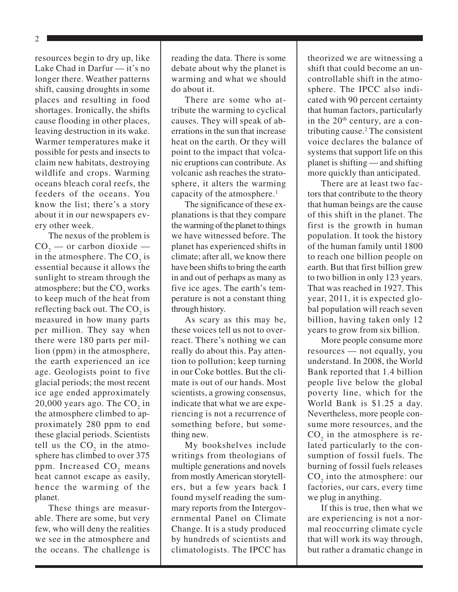2

resources begin to dry up, like Lake Chad in Darfur — it's no longer there. Weather patterns shift, causing droughts in some places and resulting in food shortages. Ironically, the shifts cause flooding in other places, leaving destruction in its wake. Warmer temperatures make it possible for pests and insects to claim new habitats, destroying wildlife and crops. Warming oceans bleach coral reefs, the feeders of the oceans. You know the list; there's a story about it in our newspapers every other week.

The nexus of the problem is  $\text{CO}_2$  — or carbon dioxide in the atmosphere. The  $CO_2$  is essential because it allows the sunlight to stream through the atmosphere; but the  $\mathrm{CO}_2^-$  works to keep much of the heat from reflecting back out. The  $CO_2$  is measured in how many parts per million. They say when there were 180 parts per million (ppm) in the atmosphere, the earth experienced an ice age. Geologists point to five glacial periods; the most recent ice age ended approximately 20,000 years ago. The  $CO_2$  in the atmosphere climbed to approximately 280 ppm to end these glacial periods. Scientists tell us the  $CO<sub>2</sub>$  in the atmosphere has climbed to over 375 ppm. Increased  $\mathrm{CO}_2^+$  means heat cannot escape as easily, hence the warming of the planet.

These things are measurable. There are some, but very few, who will deny the realities we see in the atmosphere and the oceans. The challenge is reading the data. There is some debate about why the planet is warming and what we should do about it.

There are some who attribute the warming to cyclical causes. They will speak of aberrations in the sun that increase heat on the earth. Or they will point to the impact that volcanic eruptions can contribute. As volcanic ash reaches the stratosphere, it alters the warming capacity of the atmosphere.<sup>1</sup>

The significance of these explanations is that they compare the warming of the planet to things we have witnessed before. The planet has experienced shifts in climate; after all, we know there have been shifts to bring the earth in and out of perhaps as many as five ice ages. The earth's temperature is not a constant thing through history.

As scary as this may be, these voices tell us not to overreact. There's nothing we can really do about this. Pay attention to pollution; keep turning in our Coke bottles. But the climate is out of our hands. Most scientists, a growing consensus, indicate that what we are experiencing is not a recurrence of something before, but something new.

My bookshelves include writings from theologians of multiple generations and novels from mostly American storytellers, but a few years back I found myself reading the summary reports from the Intergovernmental Panel on Climate Change. It is a study produced by hundreds of scientists and climatologists. The IPCC has

theorized we are witnessing a shift that could become an uncontrollable shift in the atmosphere. The IPCC also indicated with 90 percent certainty that human factors, particularly in the  $20<sup>th</sup>$  century, are a contributing cause.<sup>2</sup> The consistent voice declares the balance of systems that support life on this planet is shifting — and shifting more quickly than anticipated.

There are at least two factors that contribute to the theory that human beings are the cause of this shift in the planet. The first is the growth in human population. It took the history of the human family until 1800 to reach one billion people on earth. But that first billion grew to two billion in only 123 years. That was reached in 1927. This year, 2011, it is expected global population will reach seven billion, having taken only 12 years to grow from six billion.

More people consume more resources — not equally, you understand. In 2008, the World Bank reported that 1.4 billion people live below the global poverty line, which for the World Bank is \$1.25 a day. Nevertheless, more people consume more resources, and the  $CO<sub>2</sub>$  in the atmosphere is related particularly to the consumption of fossil fuels. The burning of fossil fuels releases  $CO<sub>2</sub>$  into the atmosphere: our factories, our cars, every time we plug in anything.

If this is true, then what we are experiencing is not a normal reoccurring climate cycle that will work its way through, but rather a dramatic change in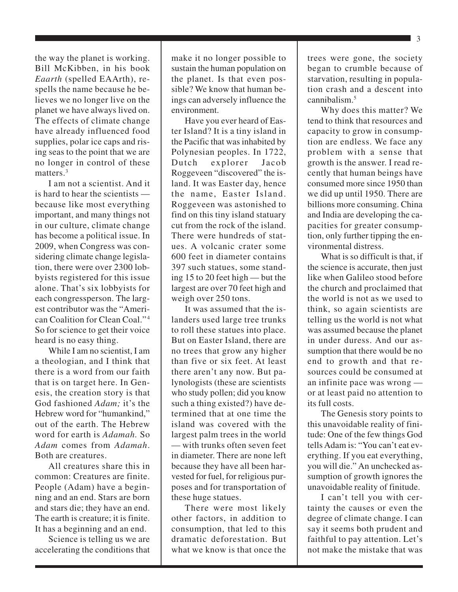the way the planet is working. Bill McKibben, in his book *Eaarth* (spelled EAArth), respells the name because he believes we no longer live on the planet we have always lived on. The effects of climate change have already influenced food supplies, polar ice caps and rising seas to the point that we are no longer in control of these matters.<sup>3</sup>

I am not a scientist. And it is hard to hear the scientists because like most everything important, and many things not in our culture, climate change has become a political issue. In 2009, when Congress was considering climate change legislation, there were over 2300 lobbyists registered for this issue alone. That's six lobbyists for each congressperson. The largest contributor was the "American Coalition for Clean Coal." 4 So for science to get their voice heard is no easy thing.

While I am no scientist, I am a theologian, and I think that there is a word from our faith that is on target here. In Genesis, the creation story is that God fashioned *Adam;* it's the Hebrew word for "humankind," out of the earth. The Hebrew word for earth is *Adamah.* So *Adam* comes from *Adamah*. Both are creatures.

All creatures share this in common: Creatures are finite. People (Adam) have a beginning and an end. Stars are born and stars die; they have an end. The earth is creature; it is finite. It has a beginning and an end.

Science is telling us we are accelerating the conditions that make it no longer possible to sustain the human population on the planet. Is that even possible? We know that human beings can adversely influence the environment.

Have you ever heard of Easter Island? It is a tiny island in the Pacific that was inhabited by Polynesian peoples. In 1722, Dutch explorer Jacob Roggeveen "discovered" the island. It was Easter day, hence the name, Easter Island. Roggeveen was astonished to find on this tiny island statuary cut from the rock of the island. There were hundreds of statues. A volcanic crater some 600 feet in diameter contains 397 such statues, some standing 15 to 20 feet high — but the largest are over 70 feet high and weigh over 250 tons.

It was assumed that the islanders used large tree trunks to roll these statues into place. But on Easter Island, there are no trees that grow any higher than five or six feet. At least there aren't any now. But palynologists (these are scientists who study pollen; did you know such a thing existed?) have determined that at one time the island was covered with the largest palm trees in the world — with trunks often seven feet in diameter. There are none left because they have all been harvested for fuel, for religious purposes and for transportation of these huge statues.

There were most likely other factors, in addition to consumption, that led to this dramatic deforestation. But what we know is that once the trees were gone, the society began to crumble because of starvation, resulting in population crash and a descent into cannibalism.<sup>5</sup>

Why does this matter? We tend to think that resources and capacity to grow in consumption are endless. We face any problem with a sense that growth is the answer. I read recently that human beings have consumed more since 1950 than we did up until 1950. There are billions more consuming. China and India are developing the capacities for greater consumption, only further tipping the environmental distress.

What is so difficult is that, if the science is accurate, then just like when Galileo stood before the church and proclaimed that the world is not as we used to think, so again scientists are telling us the world is not what was assumed because the planet in under duress. And our assumption that there would be no end to growth and that resources could be consumed at an infinite pace was wrong or at least paid no attention to its full costs.

The Genesis story points to this unavoidable reality of finitude: One of the few things God tells Adam is: "You can't eat everything. If you eat everything, you will die." An unchecked assumption of growth ignores the unavoidable reality of finitude.

I can't tell you with certainty the causes or even the degree of climate change. I can say it seems both prudent and faithful to pay attention. Let's not make the mistake that was